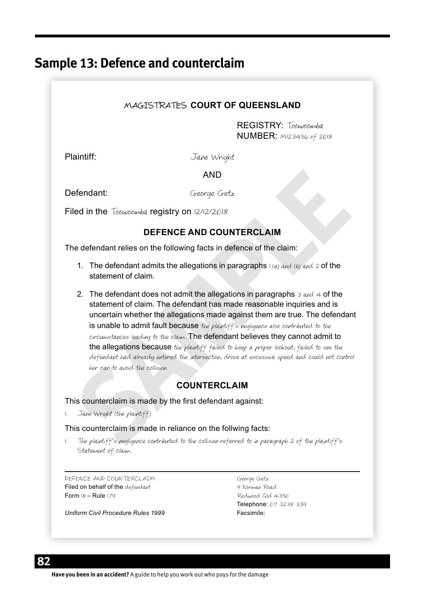# **Sample 13: Defence and counterclaim**

### MAGISTRATES **COURT OF QUEENSLAND**

REGISTRY: Toowoomba NUMBER: M123456 of 2018

Plaintiff: Jane Wright

### AND

Defendant: George Getz

Filed in the Toowoomba registry on  $12/12/2018$ 

### **DEFENCE AND COUNTERCLAIM**

The defendant relies on the following facts in defence of the claim:

- 1. The defendant admits the allegations in paragraphs  $1(a)$  and (b) and 2 of the statement of claim.
- **Substitution**<br>**Substitution**<br>**Substitution**<br>**Substitution**<br>**SEFENCE AND COUNTERCLAIM**<br>**SEFENCE AND COUNTERCLAIM**<br>**SEFENCE AND COUNTERCLAIM**<br>**1.** The defendant relies on the following facts in defence of the claim:<br>**1.** Th 2. The defendant does not admit the allegations in paragraphs  $\frac{3}{4}$  and  $\frac{4}{4}$  of the statement of claim. The defendant has made reasonable inquiries and is uncertain whether the allegations made against them are true. The defendant is unable to admit fault because the plaintiff's negligence also contributed to the circumstances leading to the claim. The defendant believes they cannot admit to the allegations because the plaintiff failed to keep a proper lookout, failed to see the defendant had already entered the intersection, drove at excessive speed and could not control her car to avoid the collision.

### **COUNTERCLAIM**

This counterclaim is made by the first defendant against:

1. Jane Wright (the plaintiff)

This counterclaim is made in reliance on the follwing facts:

1. The plaintiff's negligence contributed to the collision referred to in paragraph 2 of the plaintiff's Statement of claim.

DEFENCE AND COUNTERCLAIM George Getz Filed on behalf of the defendant 9 norman Road Form 18 – Rule 179 Redwood Qld 4350

Telephone: 07 3238 339<br>Facsimile:

*Uniform Civil Procedure Rules 1999*